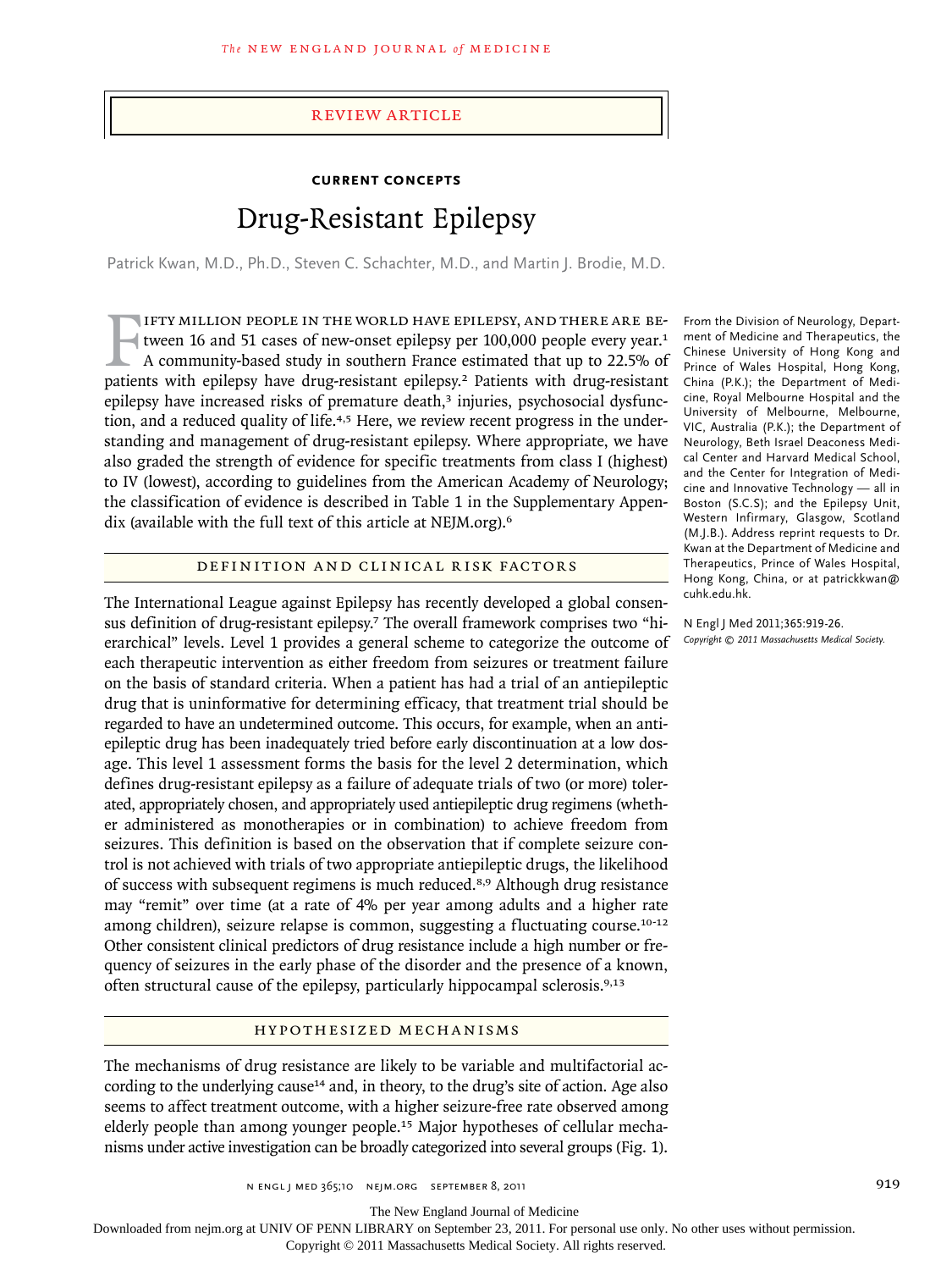#### review article

## **Current Concepts**

# Drug-Resistant Epilepsy

Patrick Kwan, M.D., Ph.D., Steven C. Schachter, M.D., and Martin J. Brodie, M.D.

IFTY MILLION PEOPLE IN THE WORLD HAVE EPILEPSY, AND THERE ARE BE-<br>tween 16 and 51 cases of new-onset epilepsy per 100,000 people every year.<sup>1</sup><br>A community-based study in southern France estimated that up to 22.5% of<br>patie ifty million people in the world have epilepsy, and there are between 16 and 51 cases of new-onset epilepsy per 100,000 people every year.<sup>1</sup> A community-based study in southern France estimated that up to 22.5% of epilepsy have increased risks of premature death, $3$  injuries, psychosocial dysfunction, and a reduced quality of life.<sup>4,5</sup> Here, we review recent progress in the understanding and management of drug-resistant epilepsy. Where appropriate, we have also graded the strength of evidence for specific treatments from class I (highest) to IV (lowest), according to guidelines from the American Academy of Neurology; the classification of evidence is described in Table 1 in the Supplementary Appendix (available with the full text of this article at NEJM.org).<sup>6</sup>

## DEFINITION AND CLINICAL RISK FACTORS

The International League against Epilepsy has recently developed a global consensus definition of drug-resistant epilepsy.7 The overall framework comprises two "hierarchical" levels. Level 1 provides a general scheme to categorize the outcome of each therapeutic intervention as either freedom from seizures or treatment failure on the basis of standard criteria. When a patient has had a trial of an antiepileptic drug that is uninformative for determining efficacy, that treatment trial should be regarded to have an undetermined outcome. This occurs, for example, when an antiepileptic drug has been inadequately tried before early discontinuation at a low dosage. This level 1 assessment forms the basis for the level 2 determination, which defines drug-resistant epilepsy as a failure of adequate trials of two (or more) tolerated, appropriately chosen, and appropriately used antiepileptic drug regimens (whether administered as monotherapies or in combination) to achieve freedom from seizures. This definition is based on the observation that if complete seizure control is not achieved with trials of two appropriate antiepileptic drugs, the likelihood of success with subsequent regimens is much reduced.8,9 Although drug resistance may "remit" over time (at a rate of 4% per year among adults and a higher rate among children), seizure relapse is common, suggesting a fluctuating course.<sup>10-12</sup> Other consistent clinical predictors of drug resistance include a high number or frequency of seizures in the early phase of the disorder and the presence of a known, often structural cause of the epilepsy, particularly hippocampal sclerosis.9,13

#### H y po thesized Mech a nisms

The mechanisms of drug resistance are likely to be variable and multifactorial according to the underlying cause<sup>14</sup> and, in theory, to the drug's site of action. Age also seems to affect treatment outcome, with a higher seizure-free rate observed among elderly people than among younger people.<sup>15</sup> Major hypotheses of cellular mechanisms under active investigation can be broadly categorized into several groups (Fig. 1).

n engl j med 365;10 nejm.org september 8, 2011 919

ment of Medicine and Therapeutics, the Chinese University of Hong Kong and Prince of Wales Hospital, Hong Kong, China (P.K.); the Department of Medicine, Royal Melbourne Hospital and the University of Melbourne, Melbourne, VIC, Australia (P.K.); the Department of Neurology, Beth Israel Deaconess Medical Center and Harvard Medical School, and the Center for Integration of Medicine and Innovative Technology — all in Boston (S.C.S); and the Epilepsy Unit, Western Infirmary, Glasgow, Scotland (M.J.B.). Address reprint requests to Dr. Kwan at the Department of Medicine and Therapeutics, Prince of Wales Hospital, Hong Kong, China, or at patrickkwan@ cuhk.edu.hk.

From the Division of Neurology, Depart-

N Engl J Med 2011;365:919-26. *Copyright © 2011 Massachusetts Medical Society.*

The New England Journal of Medicine Downloaded from nejm.org at UNIV OF PENN LIBRARY on September 23, 2011. For personal use only. No other uses without permission.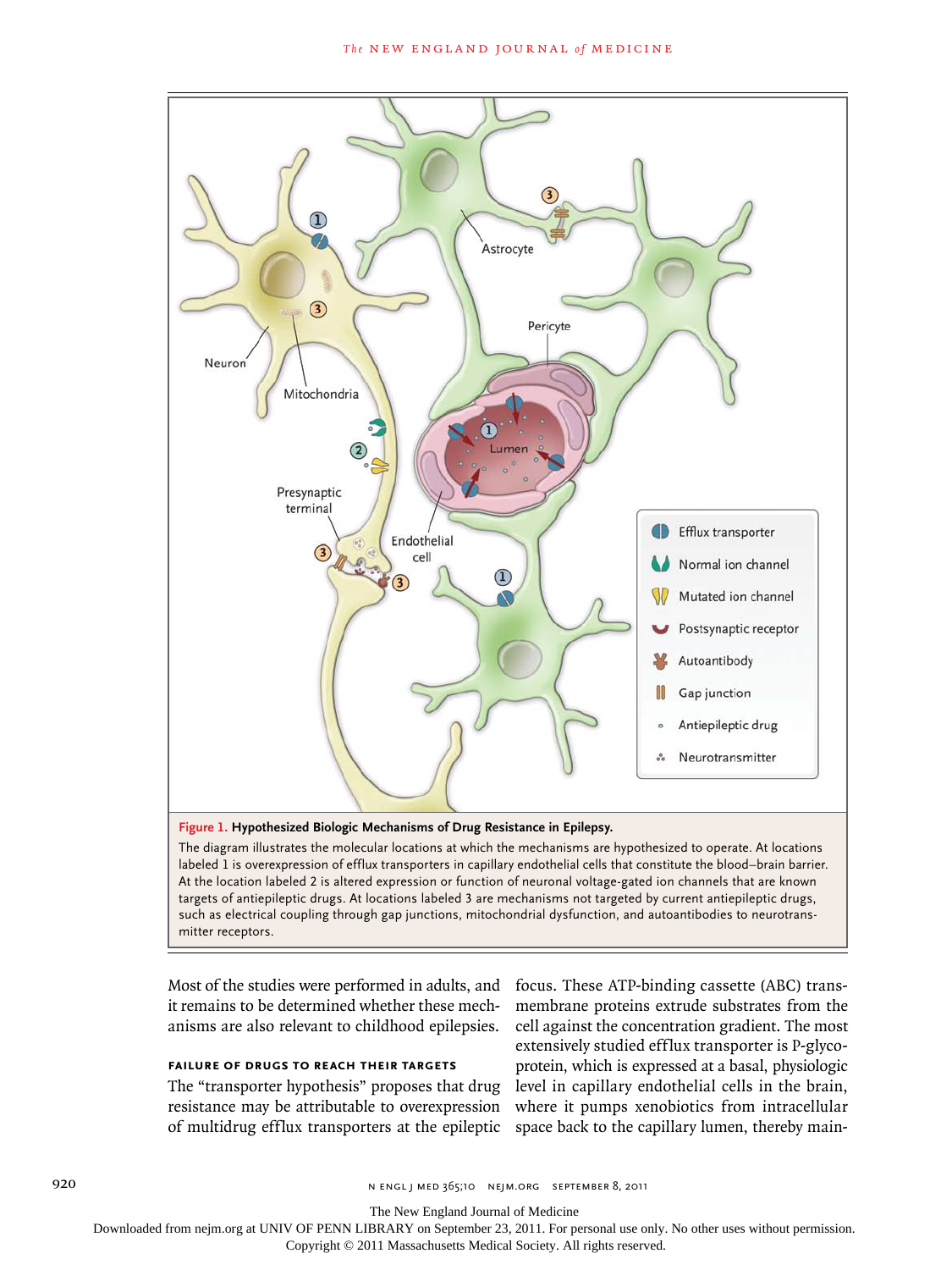

The diagram illustrates the molecular locations at which the mechanisms are hypothesized to operate. At locations labeled 1 is overexpression of efflux transporters in capillary endothelial cells that constitute the blood–brain barrier. At the location labeled 2 is altered expression or function of neuronal voltage-gated ion channels that are known targets of antiepileptic drugs. At locations labeled 3 are mechanisms not targeted by current antiepileptic drugs, such as electrical coupling through gap junctions, mitochondrial dysfunction, and autoantibodies to neurotransmitter receptors.

Most of the studies were performed in adults, and it remains to be determined whether these mechanisms are also relevant to childhood epilepsies.

## **Failure of Drugs to Reach Their Targets**

The "transporter hypothesis" proposes that drug resistance may be attributable to overexpression of multidrug efflux transporters at the epileptic

focus. These ATP-binding cassette (ABC) transmembrane proteins extrude substrates from the cell against the concentration gradient. The most extensively studied efflux transporter is P-glycoprotein, which is expressed at a basal, physiologic level in capillary endothelial cells in the brain, where it pumps xenobiotics from intracellular space back to the capillary lumen, thereby main-

920 n engl j med 365;10 nejm.org september 8, 2011

The New England Journal of Medicine

Downloaded from nejm.org at UNIV OF PENN LIBRARY on September 23, 2011. For personal use only. No other uses without permission.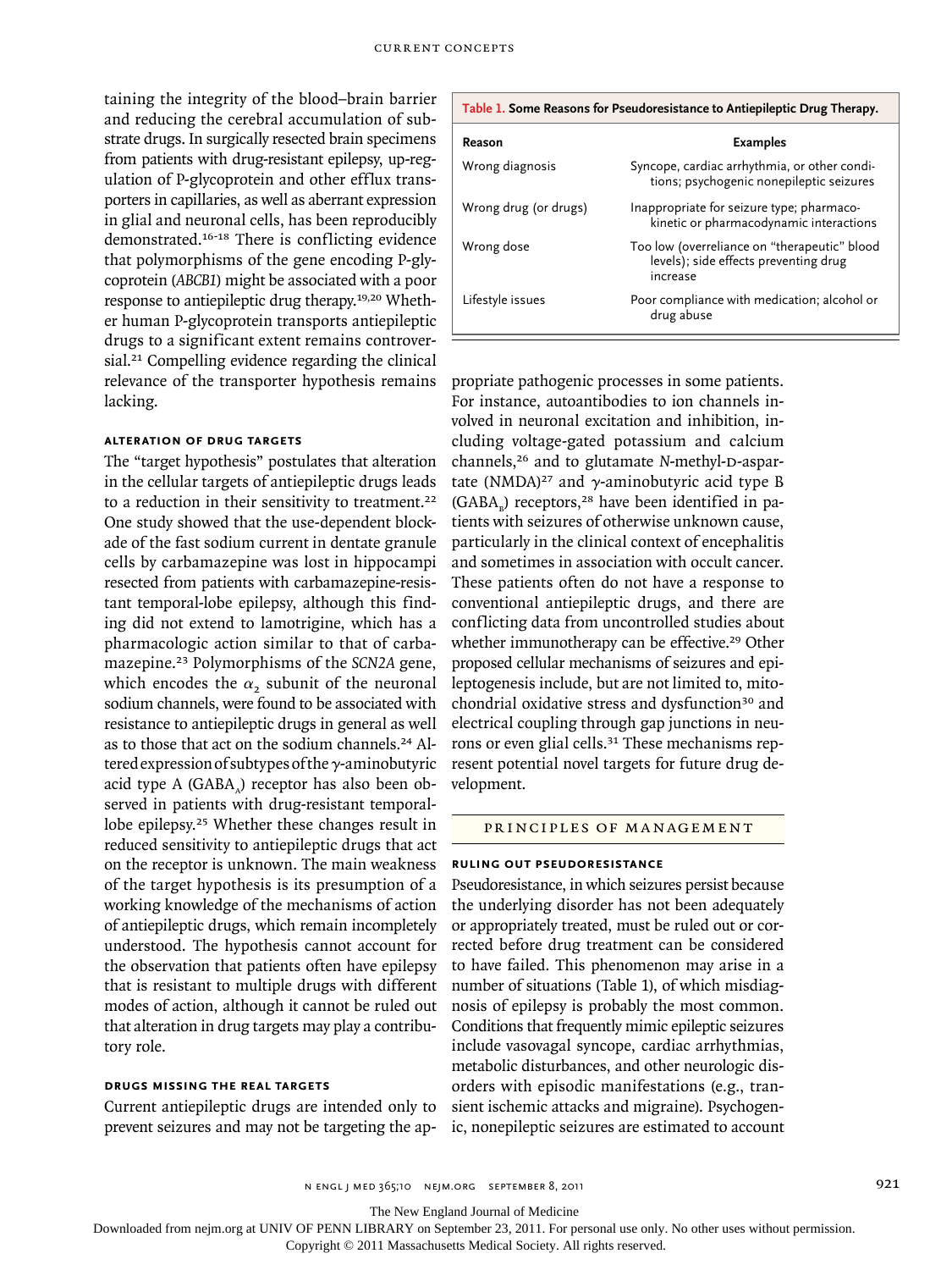taining the integrity of the blood–brain barrier and reducing the cerebral accumulation of substrate drugs. In surgically resected brain specimens from patients with drug-resistant epilepsy, up-regulation of P-glycoprotein and other efflux transporters in capillaries, as well as aberrant expression in glial and neuronal cells, has been reproducibly demonstrated.16-18 There is conflicting evidence that polymorphisms of the gene encoding P-glycoprotein (*ABCB1*) might be associated with a poor response to antiepileptic drug therapy.19,20 Whether human P-glycoprotein transports antiepileptic drugs to a significant extent remains controversial.<sup>21</sup> Compelling evidence regarding the clinical relevance of the transporter hypothesis remains lacking.

### **Alteration of Drug Targets**

The "target hypothesis" postulates that alteration in the cellular targets of antiepileptic drugs leads to a reduction in their sensitivity to treatment.<sup>22</sup> One study showed that the use-dependent blockade of the fast sodium current in dentate granule cells by carbamazepine was lost in hippocampi resected from patients with carbamazepine-resistant temporal-lobe epilepsy, although this finding did not extend to lamotrigine, which has a pharmacologic action similar to that of carbamazepine.23 Polymorphisms of the *SCN2A* gene, which encodes the  $\alpha_2$  subunit of the neuronal sodium channels, were found to be associated with resistance to antiepileptic drugs in general as well as to those that act on the sodium channels.<sup>24</sup> Altered expression of subtypes of the γ-aminobutyric acid type A  $(GABA<sub>a</sub>)$  receptor has also been observed in patients with drug-resistant temporallobe epilepsy.25 Whether these changes result in reduced sensitivity to antiepileptic drugs that act on the receptor is unknown. The main weakness of the target hypothesis is its presumption of a working knowledge of the mechanisms of action of antiepileptic drugs, which remain incompletely understood. The hypothesis cannot account for the observation that patients often have epilepsy that is resistant to multiple drugs with different modes of action, although it cannot be ruled out that alteration in drug targets may play a contributory role.

## **Drugs Missing the Real Targets**

Current antiepileptic drugs are intended only to prevent seizures and may not be targeting the ap-

| Table 1. Some Reasons for Pseudoresistance to Antiepileptic Drug Therapy. |                                                                                                   |
|---------------------------------------------------------------------------|---------------------------------------------------------------------------------------------------|
| Reason                                                                    | <b>Examples</b>                                                                                   |
| Wrong diagnosis                                                           | Syncope, cardiac arrhythmia, or other condi-<br>tions; psychogenic nonepileptic seizures          |
| Wrong drug (or drugs)                                                     | Inappropriate for seizure type; pharmaco-<br>kinetic or pharmacodynamic interactions              |
| Wrong dose                                                                | Too low (overreliance on "therapeutic" blood<br>levels); side effects preventing drug<br>increase |
| Lifestyle issues                                                          | Poor compliance with medication; alcohol or<br>drug abuse                                         |

propriate pathogenic processes in some patients. For instance, autoantibodies to ion channels involved in neuronal excitation and inhibition, including voltage-gated potassium and calcium channels,<sup>26</sup> and to glutamate *N*-methyl-D-aspartate (NMDA)<sup>27</sup> and  $\gamma$ -aminobutyric acid type B  $(GABA<sub>n</sub>)$  receptors,<sup>28</sup> have been identified in patients with seizures of otherwise unknown cause, particularly in the clinical context of encephalitis and sometimes in association with occult cancer. These patients often do not have a response to conventional antiepileptic drugs, and there are conflicting data from uncontrolled studies about whether immunotherapy can be effective.<sup>29</sup> Other proposed cellular mechanisms of seizures and epileptogenesis include, but are not limited to, mitochondrial oxidative stress and dysfunction<sup>30</sup> and electrical coupling through gap junctions in neurons or even glial cells.<sup>31</sup> These mechanisms represent potential novel targets for future drug development.

## PRINCIPLES OF MANAGEMENT

#### **Ruling out Pseudoresistance**

Pseudoresistance, in which seizures persist because the underlying disorder has not been adequately or appropriately treated, must be ruled out or corrected before drug treatment can be considered to have failed. This phenomenon may arise in a number of situations (Table 1), of which misdiagnosis of epilepsy is probably the most common. Conditions that frequently mimic epileptic seizures include vasovagal syncope, cardiac arrhythmias, metabolic disturbances, and other neurologic disorders with episodic manifestations (e.g., transient ischemic attacks and migraine). Psychogenic, nonepileptic seizures are estimated to account

n engl j med 365;10 nejm.org september 8, 2011 921

The New England Journal of Medicine

Downloaded from nejm.org at UNIV OF PENN LIBRARY on September 23, 2011. For personal use only. No other uses without permission.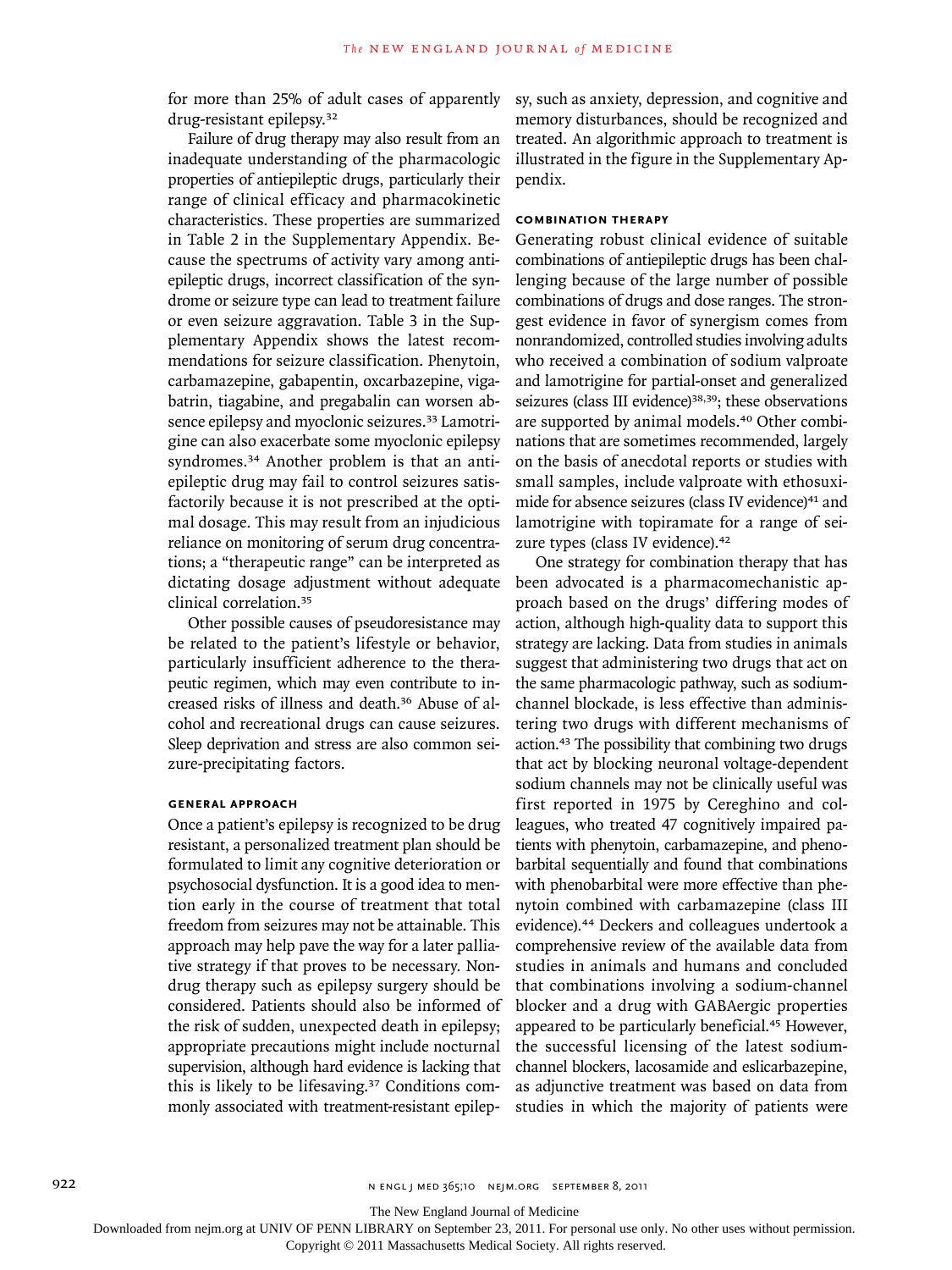for more than 25% of adult cases of apparently drug-resistant epilepsy.<sup>32</sup>

Failure of drug therapy may also result from an inadequate understanding of the pharmacologic properties of antiepileptic drugs, particularly their range of clinical efficacy and pharmacokinetic characteristics. These properties are summarized in Table 2 in the Supplementary Appendix. Because the spectrums of activity vary among antiepileptic drugs, incorrect classification of the syndrome or seizure type can lead to treatment failure or even seizure aggravation. Table 3 in the Supplementary Appendix shows the latest recommendations for seizure classification. Phenytoin, carbamazepine, gabapentin, oxcarbazepine, vigabatrin, tiagabine, and pregabalin can worsen absence epilepsy and myoclonic seizures.<sup>33</sup> Lamotrigine can also exacerbate some myoclonic epilepsy syndromes.<sup>34</sup> Another problem is that an antiepileptic drug may fail to control seizures satisfactorily because it is not prescribed at the optimal dosage. This may result from an injudicious reliance on monitoring of serum drug concentrations; a "therapeutic range" can be interpreted as dictating dosage adjustment without adequate clinical correlation.<sup>35</sup>

Other possible causes of pseudoresistance may be related to the patient's lifestyle or behavior, particularly insufficient adherence to the therapeutic regimen, which may even contribute to increased risks of illness and death.36 Abuse of alcohol and recreational drugs can cause seizures. Sleep deprivation and stress are also common seizure-precipitating factors.

#### **General Approach**

Once a patient's epilepsy is recognized to be drug resistant, a personalized treatment plan should be formulated to limit any cognitive deterioration or psychosocial dysfunction. It is a good idea to mention early in the course of treatment that total freedom from seizures may not be attainable. This approach may help pave the way for a later palliative strategy if that proves to be necessary. Nondrug therapy such as epilepsy surgery should be considered. Patients should also be informed of the risk of sudden, unexpected death in epilepsy; appropriate precautions might include nocturnal supervision, although hard evidence is lacking that this is likely to be lifesaving.37 Conditions commonly associated with treatment-resistant epilepsy, such as anxiety, depression, and cognitive and memory disturbances, should be recognized and treated. An algorithmic approach to treatment is illustrated in the figure in the Supplementary Appendix.

## **Combination Therapy**

Generating robust clinical evidence of suitable combinations of antiepileptic drugs has been challenging because of the large number of possible combinations of drugs and dose ranges. The strongest evidence in favor of synergism comes from nonrandomized, controlled studies involving adults who received a combination of sodium valproate and lamotrigine for partial-onset and generalized seizures (class III evidence)<sup>38,39</sup>; these observations are supported by animal models.40 Other combinations that are sometimes recommended, largely on the basis of anecdotal reports or studies with small samples, include valproate with ethosuximide for absence seizures (class IV evidence)<sup>41</sup> and lamotrigine with topiramate for a range of seizure types (class IV evidence).<sup>42</sup>

One strategy for combination therapy that has been advocated is a pharmacomechanistic approach based on the drugs' differing modes of action, although high-quality data to support this strategy are lacking. Data from studies in animals suggest that administering two drugs that act on the same pharmacologic pathway, such as sodiumchannel blockade, is less effective than administering two drugs with different mechanisms of action.43 The possibility that combining two drugs that act by blocking neuronal voltage-dependent sodium channels may not be clinically useful was first reported in 1975 by Cereghino and colleagues, who treated 47 cognitively impaired patients with phenytoin, carbamazepine, and phenobarbital sequentially and found that combinations with phenobarbital were more effective than phenytoin combined with carbamazepine (class III evidence).44 Deckers and colleagues undertook a comprehensive review of the available data from studies in animals and humans and concluded that combinations involving a sodium-channel blocker and a drug with GABAergic properties appeared to be particularly beneficial.45 However, the successful licensing of the latest sodiumchannel blockers, lacosamide and eslicarbazepine, as adjunctive treatment was based on data from studies in which the majority of patients were

The New England Journal of Medicine

Downloaded from nejm.org at UNIV OF PENN LIBRARY on September 23, 2011. For personal use only. No other uses without permission.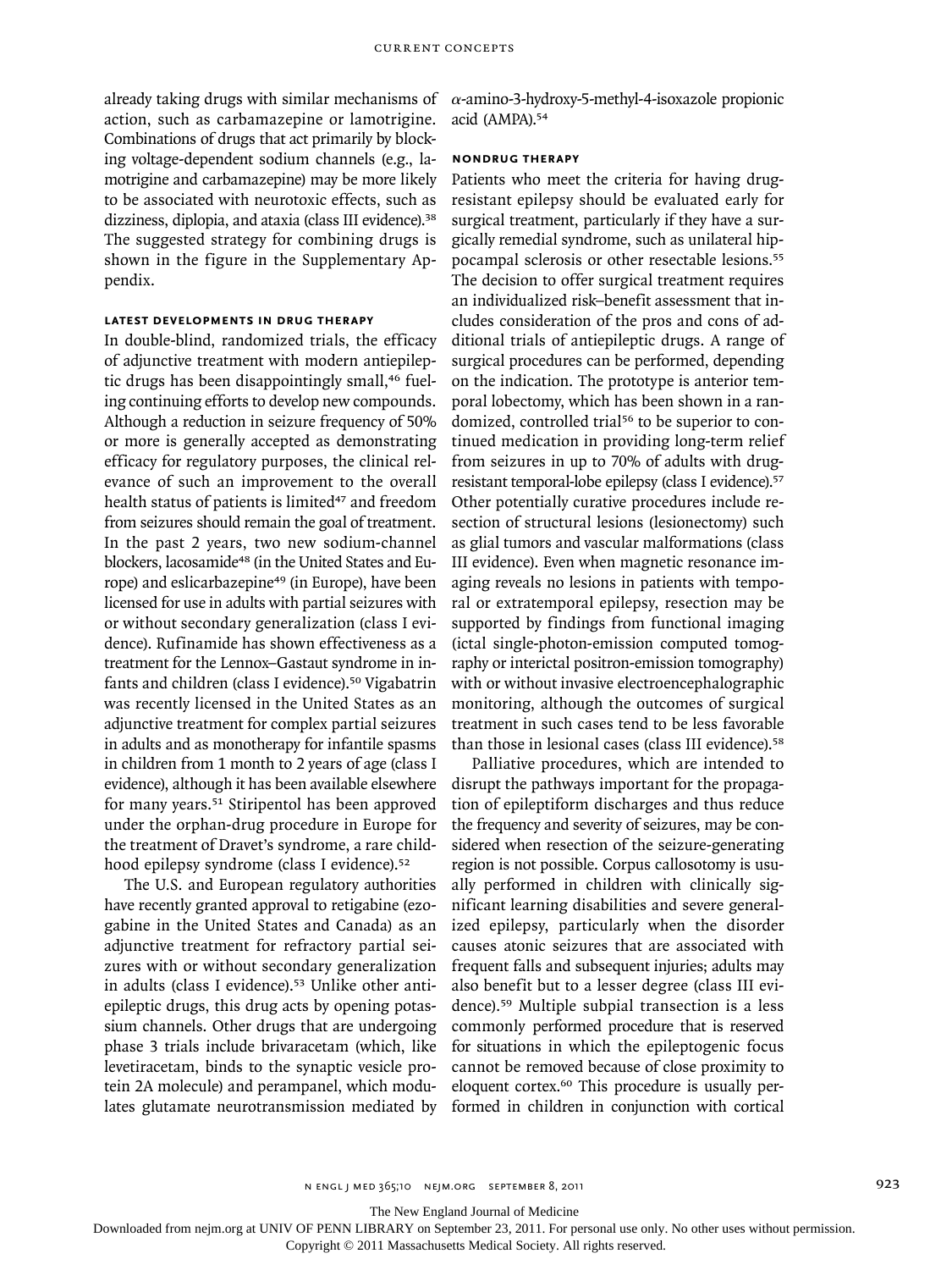already taking drugs with similar mechanisms of action, such as carbamazepine or lamotrigine. Combinations of drugs that act primarily by blocking voltage-dependent sodium channels (e.g., lamotrigine and carbamazepine) may be more likely to be associated with neurotoxic effects, such as dizziness, diplopia, and ataxia (class III evidence).<sup>38</sup> The suggested strategy for combining drugs is shown in the figure in the Supplementary Appendix.

## **Latest Developments in Drug Therapy**

In double-blind, randomized trials, the efficacy of adjunctive treatment with modern antiepileptic drugs has been disappointingly small,<sup>46</sup> fueling continuing efforts to develop new compounds. Although a reduction in seizure frequency of 50% or more is generally accepted as demonstrating efficacy for regulatory purposes, the clinical relevance of such an improvement to the overall health status of patients is limited<sup>47</sup> and freedom from seizures should remain the goal of treatment. In the past 2 years, two new sodium-channel blockers, lacosamide<sup>48</sup> (in the United States and Europe) and eslicarbazepine<sup>49</sup> (in Europe), have been licensed for use in adults with partial seizures with or without secondary generalization (class I evidence). Rufinamide has shown effectiveness as a treatment for the Lennox–Gastaut syndrome in infants and children (class I evidence).<sup>50</sup> Vigabatrin was recently licensed in the United States as an adjunctive treatment for complex partial seizures in adults and as monotherapy for infantile spasms in children from 1 month to 2 years of age (class I evidence), although it has been available elsewhere for many years.<sup>51</sup> Stiripentol has been approved under the orphan-drug procedure in Europe for the treatment of Dravet's syndrome, a rare childhood epilepsy syndrome (class I evidence).<sup>52</sup>

The U.S. and European regulatory authorities have recently granted approval to retigabine (ezogabine in the United States and Canada) as an adjunctive treatment for refractory partial seizures with or without secondary generalization in adults (class I evidence).<sup>53</sup> Unlike other antiepileptic drugs, this drug acts by opening potassium channels. Other drugs that are undergoing phase 3 trials include brivaracetam (which, like levetiracetam, binds to the synaptic vesicle protein 2A molecule) and perampanel, which modulates glutamate neurotransmission mediated by  $\alpha$ -amino-3-hydroxy-5-methyl-4-isoxazole propionic acid (AMPA).<sup>54</sup>

#### **Nondrug Therapy**

Patients who meet the criteria for having drugresistant epilepsy should be evaluated early for surgical treatment, particularly if they have a surgically remedial syndrome, such as unilateral hippocampal sclerosis or other resectable lesions.<sup>55</sup> The decision to offer surgical treatment requires an individualized risk–benefit assessment that includes consideration of the pros and cons of additional trials of antiepileptic drugs. A range of surgical procedures can be performed, depending on the indication. The prototype is anterior temporal lobectomy, which has been shown in a randomized, controlled trial<sup>56</sup> to be superior to continued medication in providing long-term relief from seizures in up to 70% of adults with drugresistant temporal-lobe epilepsy (class I evidence).<sup>57</sup> Other potentially curative procedures include resection of structural lesions (lesionectomy) such as glial tumors and vascular malformations (class III evidence). Even when magnetic resonance imaging reveals no lesions in patients with temporal or extratemporal epilepsy, resection may be supported by findings from functional imaging (ictal single-photon-emission computed tomography or interictal positron-emission tomography) with or without invasive electroencephalographic monitoring, although the outcomes of surgical treatment in such cases tend to be less favorable than those in lesional cases (class III evidence).<sup>58</sup>

Palliative procedures, which are intended to disrupt the pathways important for the propagation of epileptiform discharges and thus reduce the frequency and severity of seizures, may be considered when resection of the seizure-generating region is not possible. Corpus callosotomy is usually performed in children with clinically significant learning disabilities and severe generalized epilepsy, particularly when the disorder causes atonic seizures that are associated with frequent falls and subsequent injuries; adults may also benefit but to a lesser degree (class III evidence).59 Multiple subpial transection is a less commonly performed procedure that is reserved for situations in which the epileptogenic focus cannot be removed because of close proximity to eloquent cortex.60 This procedure is usually performed in children in conjunction with cortical

The New England Journal of Medicine

Downloaded from nejm.org at UNIV OF PENN LIBRARY on September 23, 2011. For personal use only. No other uses without permission.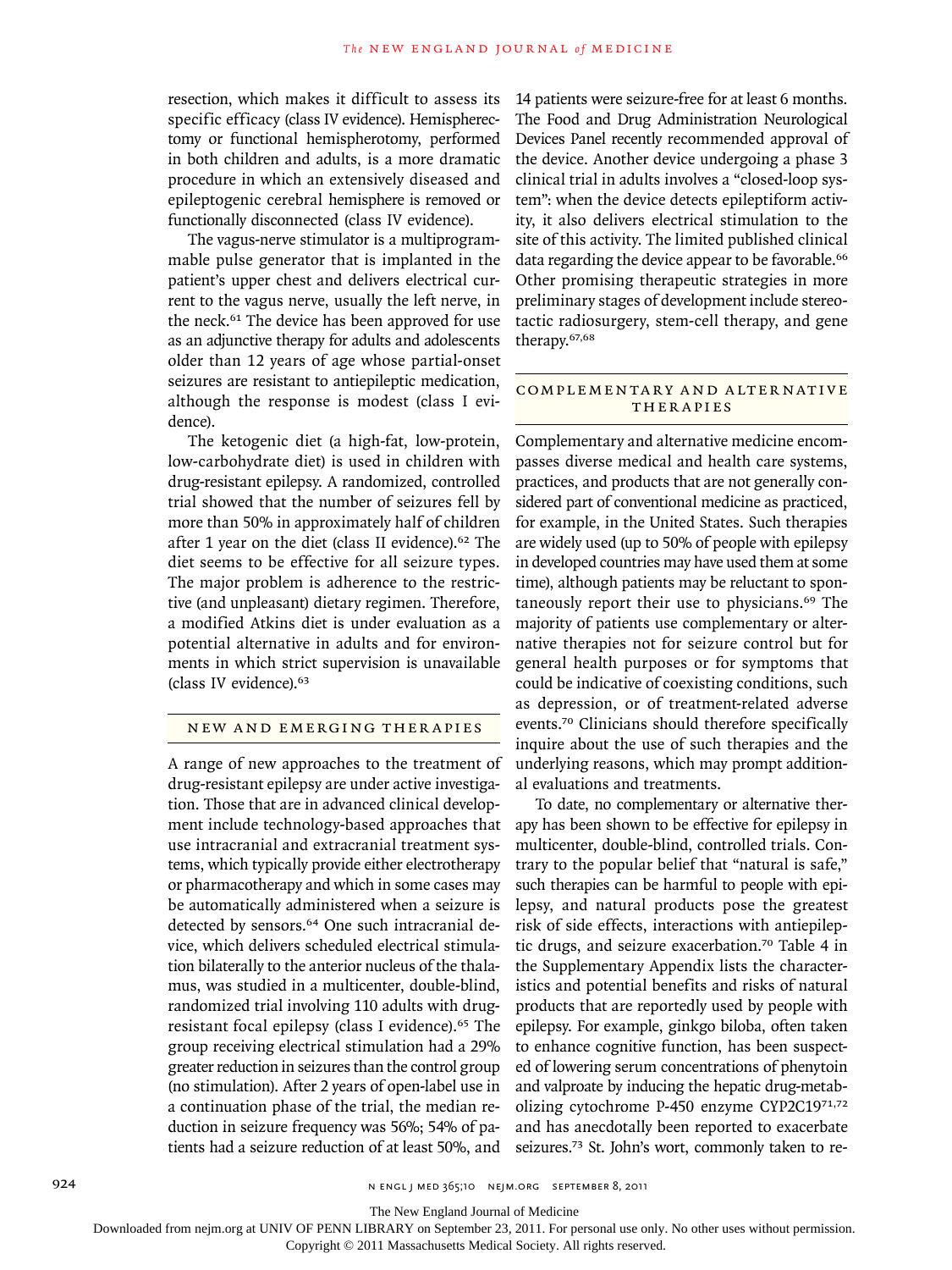resection, which makes it difficult to assess its specific efficacy (class IV evidence). Hemispherectomy or functional hemispherotomy, performed in both children and adults, is a more dramatic procedure in which an extensively diseased and epileptogenic cerebral hemisphere is removed or functionally disconnected (class IV evidence).

The vagus-nerve stimulator is a multiprogrammable pulse generator that is implanted in the patient's upper chest and delivers electrical current to the vagus nerve, usually the left nerve, in the neck.61 The device has been approved for use as an adjunctive therapy for adults and adolescents older than 12 years of age whose partial-onset seizures are resistant to antiepileptic medication, although the response is modest (class I evidence).

The ketogenic diet (a high-fat, low-protein, low-carbohydrate diet) is used in children with drug-resistant epilepsy. A randomized, controlled trial showed that the number of seizures fell by more than 50% in approximately half of children after 1 year on the diet (class II evidence).62 The diet seems to be effective for all seizure types. The major problem is adherence to the restrictive (and unpleasant) dietary regimen. Therefore, a modified Atkins diet is under evaluation as a potential alternative in adults and for environments in which strict supervision is unavailable (class IV evidence).<sup>63</sup>

#### NEW AND EMERGING THERAPIES

A range of new approaches to the treatment of drug-resistant epilepsy are under active investigation. Those that are in advanced clinical development include technology-based approaches that use intracranial and extracranial treatment systems, which typically provide either electrotherapy or pharmacotherapy and which in some cases may be automatically administered when a seizure is detected by sensors.<sup>64</sup> One such intracranial device, which delivers scheduled electrical stimulation bilaterally to the anterior nucleus of the thalamus, was studied in a multicenter, double-blind, randomized trial involving 110 adults with drugresistant focal epilepsy (class I evidence).65 The group receiving electrical stimulation had a 29% greater reduction in seizures than the control group (no stimulation). After 2 years of open-label use in a continuation phase of the trial, the median reduction in seizure frequency was 56%; 54% of patients had a seizure reduction of at least 50%, and

14 patients were seizure-free for at least 6 months. The Food and Drug Administration Neurological Devices Panel recently recommended approval of the device. Another device undergoing a phase 3 clinical trial in adults involves a "closed-loop system": when the device detects epileptiform activity, it also delivers electrical stimulation to the site of this activity. The limited published clinical data regarding the device appear to be favorable.<sup>66</sup> Other promising therapeutic strategies in more preliminary stages of development include stereotactic radiosurgery, stem-cell therapy, and gene therapy.67,68

#### COMPLEMENTARY AND ALTERNATIVE **THERAPIES**

Complementary and alternative medicine encompasses diverse medical and health care systems, practices, and products that are not generally considered part of conventional medicine as practiced, for example, in the United States. Such therapies are widely used (up to 50% of people with epilepsy in developed countries may have used them at some time), although patients may be reluctant to spontaneously report their use to physicians.<sup>69</sup> The majority of patients use complementary or alternative therapies not for seizure control but for general health purposes or for symptoms that could be indicative of coexisting conditions, such as depression, or of treatment-related adverse events.70 Clinicians should therefore specifically inquire about the use of such therapies and the underlying reasons, which may prompt additional evaluations and treatments.

To date, no complementary or alternative therapy has been shown to be effective for epilepsy in multicenter, double-blind, controlled trials. Contrary to the popular belief that "natural is safe," such therapies can be harmful to people with epilepsy, and natural products pose the greatest risk of side effects, interactions with antiepileptic drugs, and seizure exacerbation.70 Table 4 in the Supplementary Appendix lists the characteristics and potential benefits and risks of natural products that are reportedly used by people with epilepsy. For example, ginkgo biloba, often taken to enhance cognitive function, has been suspected of lowering serum concentrations of phenytoin and valproate by inducing the hepatic drug-metabolizing cytochrome P-450 enzyme CYP2C1971,72 and has anecdotally been reported to exacerbate seizures.<sup>73</sup> St. John's wort, commonly taken to re-

The New England Journal of Medicine

Downloaded from nejm.org at UNIV OF PENN LIBRARY on September 23, 2011. For personal use only. No other uses without permission.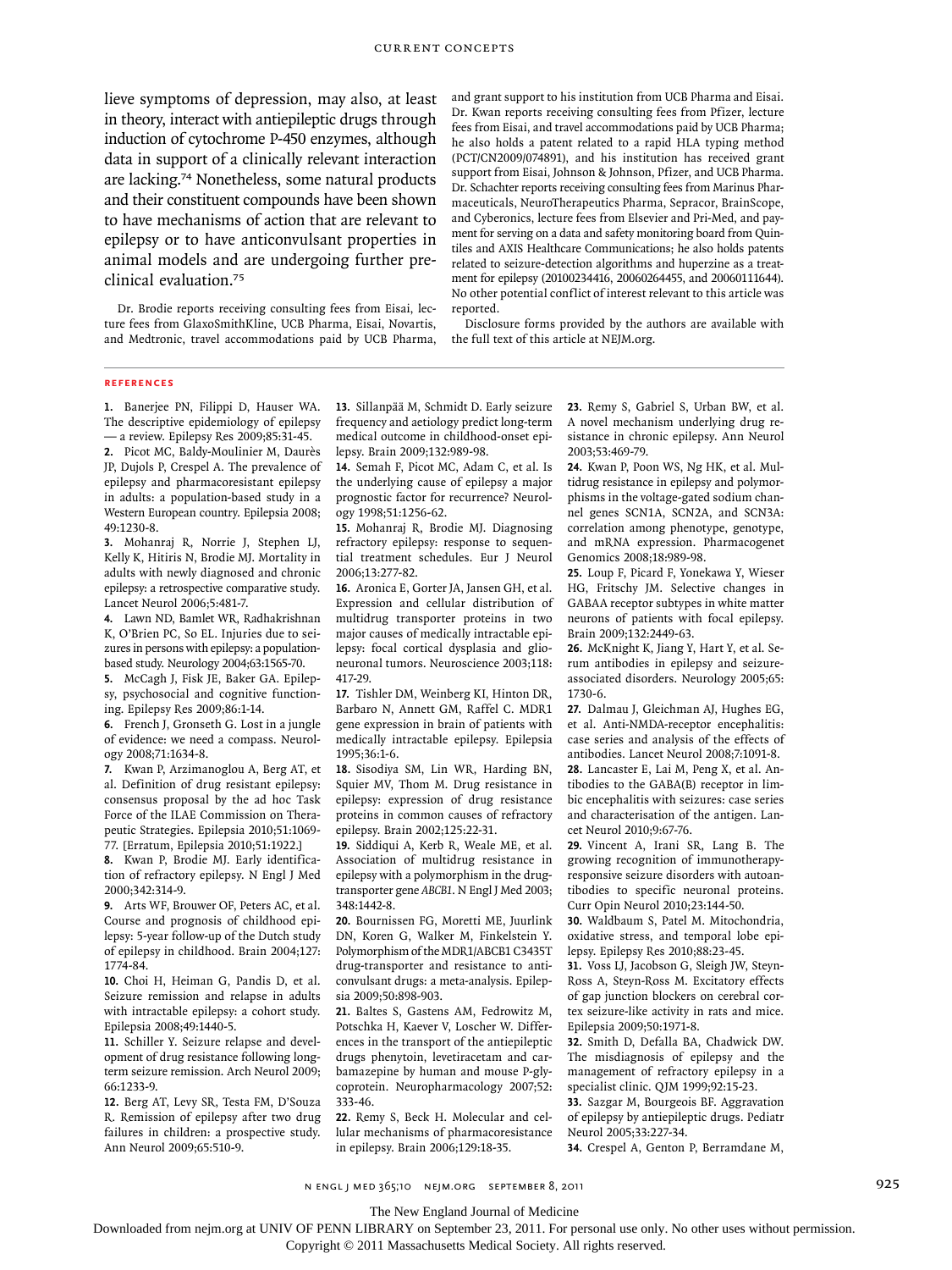lieve symptoms of depression, may also, at least in theory, interact with antiepileptic drugs through induction of cytochrome P-450 enzymes, although data in support of a clinically relevant interaction are lacking.74 Nonetheless, some natural products and their constituent compounds have been shown to have mechanisms of action that are relevant to epilepsy or to have anticonvulsant properties in animal models and are undergoing further preclinical evaluation.<sup>75</sup>

Dr. Brodie reports receiving consulting fees from Eisai, lecture fees from GlaxoSmithKline, UCB Pharma, Eisai, Novartis, and Medtronic, travel accommodations paid by UCB Pharma,

and grant support to his institution from UCB Pharma and Eisai. Dr. Kwan reports receiving consulting fees from Pfizer, lecture fees from Eisai, and travel accommodations paid by UCB Pharma; he also holds a patent related to a rapid HLA typing method (PCT/CN2009/074891), and his institution has received grant support from Eisai, Johnson & Johnson, Pfizer, and UCB Pharma. Dr. Schachter reports receiving consulting fees from Marinus Pharmaceuticals, NeuroTherapeutics Pharma, Sepracor, BrainScope, and Cyberonics, lecture fees from Elsevier and Pri-Med, and payment for serving on a data and safety monitoring board from Quintiles and AXIS Healthcare Communications; he also holds patents related to seizure-detection algorithms and huperzine as a treatment for epilepsy (20100234416, 20060264455, and 20060111644). No other potential conflict of interest relevant to this article was reported.

Disclosure forms provided by the authors are available with the full text of this article at NEJM.org.

#### **References**

**1.** Banerjee PN, Filippi D, Hauser WA. The descriptive epidemiology of epilepsy — a review. Epilepsy Res 2009;85:31-45. **2.** Picot MC, Baldy-Moulinier M, Daurès JP, Dujols P, Crespel A. The prevalence of

epilepsy and pharmacoresistant epilepsy in adults: a population-based study in a Western European country. Epilepsia 2008; 49:1230-8.

**3.** Mohanraj R, Norrie J, Stephen LJ, Kelly K, Hitiris N, Brodie MJ. Mortality in adults with newly diagnosed and chronic epilepsy: a retrospective comparative study. Lancet Neurol 2006;5:481-7.

**4.** Lawn ND, Bamlet WR, Radhakrishnan K, O'Brien PC, So EL. Injuries due to seizures in persons with epilepsy: a populationbased study. Neurology 2004;63:1565-70.

**5.** McCagh J, Fisk JE, Baker GA. Epilepsy, psychosocial and cognitive functioning. Epilepsy Res 2009;86:1-14.

**6.** French J, Gronseth G. Lost in a jungle of evidence: we need a compass. Neurology 2008;71:1634-8.

**7.** Kwan P, Arzimanoglou A, Berg AT, et al. Definition of drug resistant epilepsy: consensus proposal by the ad hoc Task Force of the ILAE Commission on Therapeutic Strategies. Epilepsia 2010;51:1069- 77. [Erratum, Epilepsia 2010;51:1922.]

**8.** Kwan P, Brodie MJ. Early identification of refractory epilepsy. N Engl J Med 2000;342:314-9.

**9.** Arts WF, Brouwer OF, Peters AC, et al. Course and prognosis of childhood epilepsy: 5-year follow-up of the Dutch study of epilepsy in childhood. Brain 2004;127: 1774-84.

**10.** Choi H, Heiman G, Pandis D, et al. Seizure remission and relapse in adults with intractable epilepsy: a cohort study. Epilepsia 2008;49:1440-5.

**11.** Schiller Y. Seizure relapse and development of drug resistance following longterm seizure remission. Arch Neurol 2009; 66:1233-9.

**12.** Berg AT, Levy SR, Testa FM, D'Souza R. Remission of epilepsy after two drug failures in children: a prospective study. Ann Neurol 2009;65:510-9.

**13.** Sillanpää M, Schmidt D. Early seizure frequency and aetiology predict long-term medical outcome in childhood-onset epilepsy. Brain 2009;132:989-98.

**14.** Semah F, Picot MC, Adam C, et al. Is the underlying cause of epilepsy a major prognostic factor for recurrence? Neurology 1998;51:1256-62.

**15.** Mohanraj R, Brodie MJ. Diagnosing refractory epilepsy: response to sequential treatment schedules. Eur J Neurol 2006;13:277-82.

**16.** Aronica E, Gorter JA, Jansen GH, et al. Expression and cellular distribution of multidrug transporter proteins in two major causes of medically intractable epilepsy: focal cortical dysplasia and glioneuronal tumors. Neuroscience 2003;118: 417-29.

**17.** Tishler DM, Weinberg KI, Hinton DR, Barbaro N, Annett GM, Raffel C. MDR1 gene expression in brain of patients with medically intractable epilepsy. Epilepsia 1995;36:1-6.

**18.** Sisodiya SM, Lin WR, Harding BN, Squier MV, Thom M. Drug resistance in epilepsy: expression of drug resistance proteins in common causes of refractory epilepsy. Brain 2002;125:22-31.

**19.** Siddiqui A, Kerb R, Weale ME, et al. Association of multidrug resistance in epilepsy with a polymorphism in the drugtransporter gene *ABCB1*. N Engl J Med 2003; 348:1442-8.

**20.** Bournissen FG, Moretti ME, Juurlink DN, Koren G, Walker M, Finkelstein Y. Polymorphism of the MDR1/ABCB1 C3435T drug-transporter and resistance to anticonvulsant drugs: a meta-analysis. Epilepsia 2009;50:898-903.

**21.** Baltes S, Gastens AM, Fedrowitz M, Potschka H, Kaever V, Loscher W. Differences in the transport of the antiepileptic drugs phenytoin, levetiracetam and carbamazepine by human and mouse P-glycoprotein. Neuropharmacology 2007;52: 333-46.

**22.** Remy S, Beck H. Molecular and cellular mechanisms of pharmacoresistance in epilepsy. Brain 2006;129:18-35.

**23.** Remy S, Gabriel S, Urban BW, et al. A novel mechanism underlying drug resistance in chronic epilepsy. Ann Neurol 2003;53:469-79.

**24.** Kwan P, Poon WS, Ng HK, et al. Multidrug resistance in epilepsy and polymorphisms in the voltage-gated sodium channel genes SCN1A, SCN2A, and SCN3A: correlation among phenotype, genotype, and mRNA expression. Pharmacogenet Genomics 2008;18:989-98.

**25.** Loup F, Picard F, Yonekawa Y, Wieser HG, Fritschy JM. Selective changes in GABAA receptor subtypes in white matter neurons of patients with focal epilepsy. Brain 2009;132:2449-63.

**26.** McKnight K, Jiang Y, Hart Y, et al. Serum antibodies in epilepsy and seizureassociated disorders. Neurology 2005;65: 1730-6.

**27.** Dalmau J, Gleichman AJ, Hughes EG, et al. Anti-NMDA-receptor encephalitis: case series and analysis of the effects of antibodies. Lancet Neurol 2008;7:1091-8. **28.** Lancaster E, Lai M, Peng X, et al. Antibodies to the GABA(B) receptor in limbic encephalitis with seizures: case series and characterisation of the antigen. Lancet Neurol 2010;9:67-76.

**29.** Vincent A, Irani SR, Lang B. The growing recognition of immunotherapyresponsive seizure disorders with autoantibodies to specific neuronal proteins. Curr Opin Neurol 2010;23:144-50.

**30.** Waldbaum S, Patel M. Mitochondria, oxidative stress, and temporal lobe epilepsy. Epilepsy Res 2010;88:23-45.

**31.** Voss LJ, Jacobson G, Sleigh JW, Steyn-Ross A, Steyn-Ross M. Excitatory effects of gap junction blockers on cerebral cortex seizure-like activity in rats and mice. Epilepsia 2009;50:1971-8.

**32.** Smith D, Defalla BA, Chadwick DW. The misdiagnosis of epilepsy and the management of refractory epilepsy in a specialist clinic. QJM 1999;92:15-23.

**33.** Sazgar M, Bourgeois BF. Aggravation of epilepsy by antiepileptic drugs. Pediatr Neurol 2005;33:227-34.

**34.** Crespel A, Genton P, Berramdane M,

n engl j med 365;10 nejm.org september 8, 2011 925

Downloaded from nejm.org at UNIV OF PENN LIBRARY on September 23, 2011. For personal use only. No other uses without permission.